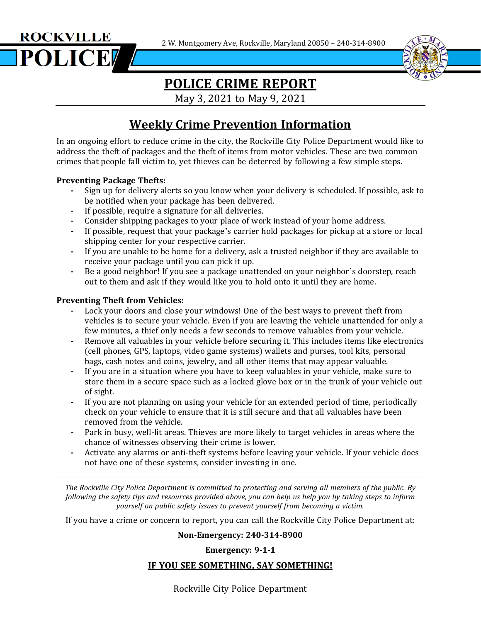2 W. Montgomery Ave, Rockville, Maryland 20850 – 240-314-8900





# **POLICE CRIME REPORT**

May 3, 2021 to May 9, 2021

### **Weekly Crime Prevention Information**

In an ongoing effort to reduce crime in the city, the Rockville City Police Department would like to address the theft of packages and the theft of items from motor vehicles. These are two common crimes that people fall victim to, yet thieves can be deterred by following a few simple steps.

#### **Preventing Package Thefts:**

- **-** Sign up for delivery alerts so you know when your delivery is scheduled. If possible, ask to be notified when your package has been delivered.
- **-** If possible, require a signature for all deliveries.
- **-** Consider shipping packages to your place of work instead of your home address.
- **-** If possible, request that your package's carrier hold packages for pickup at a store or local shipping center for your respective carrier.
- **-** If you are unable to be home for a delivery, ask a trusted neighbor if they are available to receive your package until you can pick it up.
- **-** Be a good neighbor! If you see a package unattended on your neighbor's doorstep, reach out to them and ask if they would like you to hold onto it until they are home.

#### **Preventing Theft from Vehicles:**

- **-** Lock your doors and close your windows! One of the best ways to prevent theft from vehicles is to secure your vehicle. Even if you are leaving the vehicle unattended for only a few minutes, a thief only needs a few seconds to remove valuables from your vehicle.
- **-** Remove all valuables in your vehicle before securing it. This includes items like electronics (cell phones, GPS, laptops, video game systems) wallets and purses, tool kits, personal bags, cash notes and coins, jewelry, and all other items that may appear valuable.
- **-** If you are in a situation where you have to keep valuables in your vehicle, make sure to store them in a secure space such as a locked glove box or in the trunk of your vehicle out of sight.
- **-** If you are not planning on using your vehicle for an extended period of time, periodically check on your vehicle to ensure that it is still secure and that all valuables have been removed from the vehicle.
- **-** Park in busy, well-lit areas. Thieves are more likely to target vehicles in areas where the chance of witnesses observing their crime is lower.
- **-** Activate any alarms or anti-theft systems before leaving your vehicle. If your vehicle does not have one of these systems, consider investing in one.

*The Rockville City Police Department is committed to protecting and serving all members of the public. By* following the safety tips and resources provided above, you can help us help you by taking steps to inform *yourself on public safety issues to prevent yourself from becoming a victim.*

If you have a crime or concern to report, you can call the Rockville City Police Department at:

#### **Non-Emergency: 240-314-8900**

#### **Emergency: 9-1-1**

#### **IF YOU SEE SOMETHING, SAY SOMETHING!**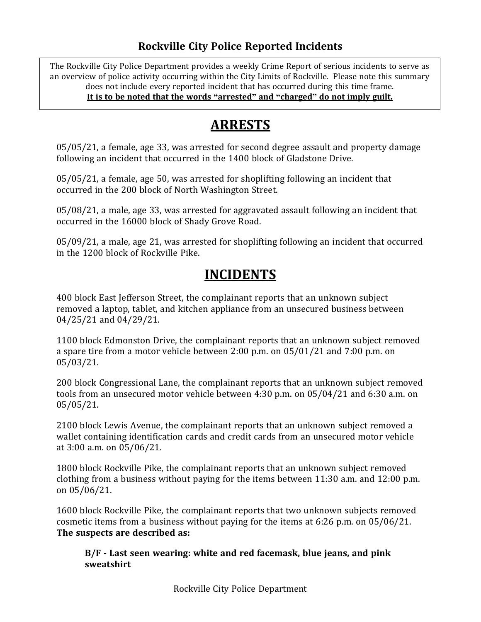### **Rockville City Police Reported Incidents**

 $\overline{a}$ The Rockville City Police Department provides a weekly Crime Report of serious incidents to serve as an overview of police activity occurring within the City Limits of Rockville. Please note this summary does not include every reported incident that has occurred during this time frame. **It is to be noted that the words "arrested" and "charged" do not imply guilt.**

## **ARRESTS**

05/05/21, a female, age 33, was arrested for second degree assault and property damage following an incident that occurred in the 1400 block of Gladstone Drive.

05/05/21, a female, age 50, was arrested for shoplifting following an incident that occurred in the 200 block of North Washington Street.

05/08/21, a male, age 33, was arrested for aggravated assault following an incident that occurred in the 16000 block of Shady Grove Road.

05/09/21, a male, age 21, was arrested for shoplifting following an incident that occurred in the 1200 block of Rockville Pike.

# **INCIDENTS**

400 block East Jefferson Street, the complainant reports that an unknown subject removed a laptop, tablet, and kitchen appliance from an unsecured business between 04/25/21 and 04/29/21.

1100 block Edmonston Drive, the complainant reports that an unknown subject removed a spare tire from a motor vehicle between 2:00 p.m. on 05/01/21 and 7:00 p.m. on 05/03/21.

200 block Congressional Lane, the complainant reports that an unknown subject removed tools from an unsecured motor vehicle between 4:30 p.m. on 05/04/21 and 6:30 a.m. on 05/05/21.

2100 block Lewis Avenue, the complainant reports that an unknown subject removed a wallet containing identification cards and credit cards from an unsecured motor vehicle at 3:00 a.m. on 05/06/21.

1800 block Rockville Pike, the complainant reports that an unknown subject removed clothing from a business without paying for the items between 11:30 a.m. and 12:00 p.m. on 05/06/21.

1600 block Rockville Pike, the complainant reports that two unknown subjects removed cosmetic items from a business without paying for the items at 6:26 p.m. on 05/06/21. **The suspects are described as:**

**B/F - Last seen wearing: white and red facemask, blue jeans, and pink sweatshirt**

Rockville City Police Department